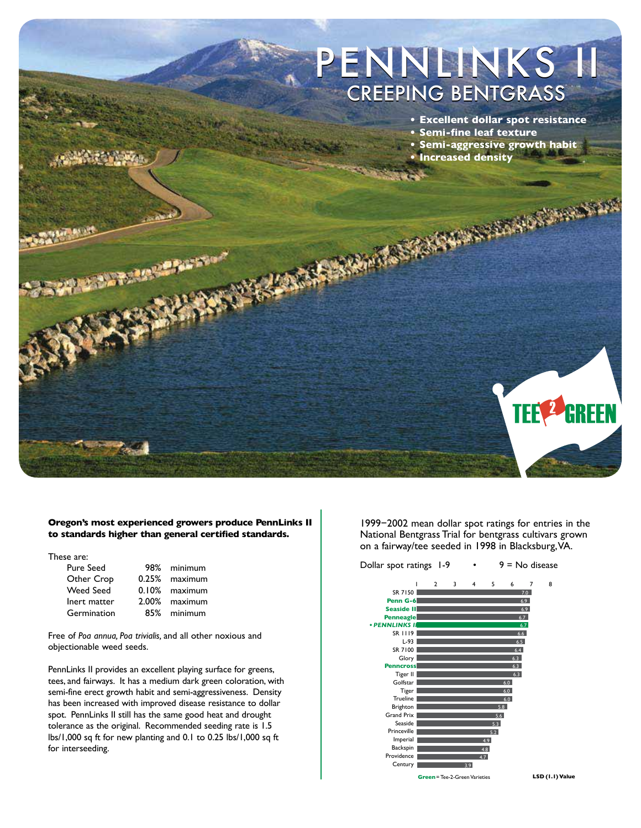



#### **Oregon's most experienced growers produce PennLinks II to standards higher than general certified standards.**

These are:

| 98% minimum   |
|---------------|
| 0.25% maximum |
| 0.10% maximum |
| 2.00% maximum |
| 85% minimum   |
|               |

Free of *Poa annua, Poa trivialis,* and all other noxious and objectionable weed seeds.

PennLinks II provides an excellent playing surface for greens, tees, and fairways. It has a medium dark green coloration, with semi-fine erect growth habit and semi-aggressiveness. Density has been increased with improved disease resistance to dollar spot. PennLinks II still has the same good heat and drought tolerance as the original. Recommended seeding rate is 1.5 lbs/1,000 sq ft for new planting and 0.1 to 0.25 lbs/1,000 sq ft for interseeding.

1999−2002 mean dollar spot ratings for entries in the National Bentgrass Trial for bentgrass cultivars grown on a fairway/tee seeded in 1998 in Blacksburg,VA.



**LSD (1.1) Value**